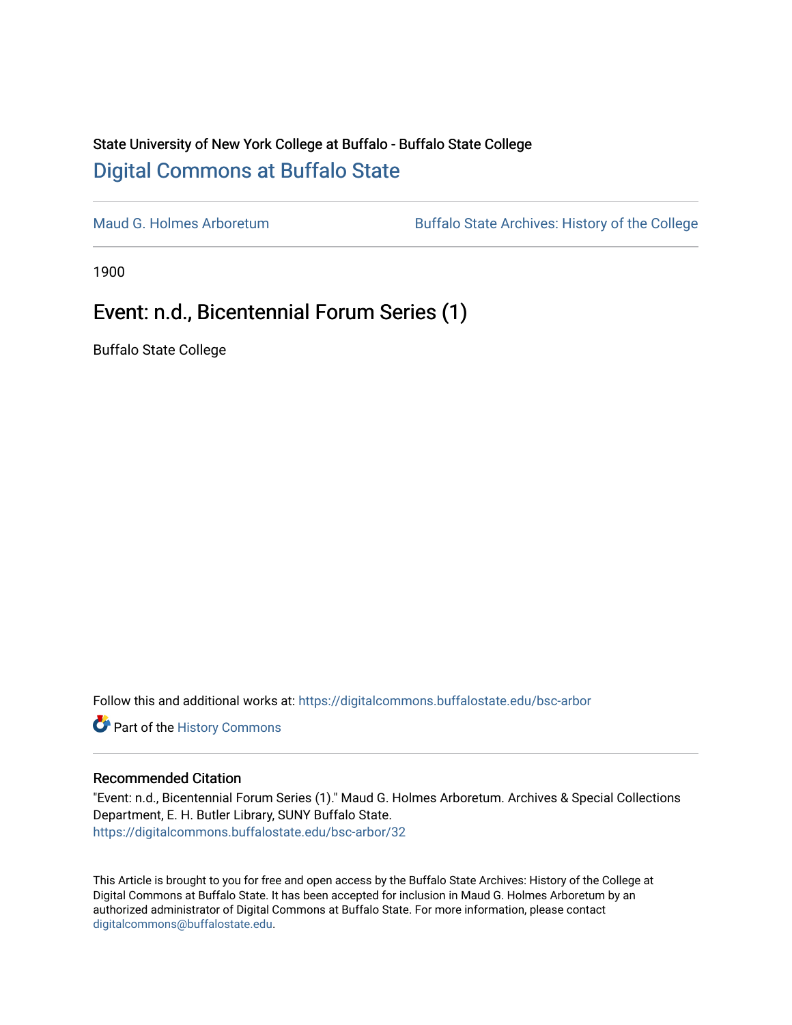# State University of New York College at Buffalo - Buffalo State College [Digital Commons at Buffalo State](https://digitalcommons.buffalostate.edu/)

[Maud G. Holmes Arboretum](https://digitalcommons.buffalostate.edu/bsc-arbor) Buffalo State Archives: History of the College

1900

# Event: n.d., Bicentennial Forum Series (1)

Buffalo State College

Follow this and additional works at: [https://digitalcommons.buffalostate.edu/bsc-arbor](https://digitalcommons.buffalostate.edu/bsc-arbor?utm_source=digitalcommons.buffalostate.edu%2Fbsc-arbor%2F32&utm_medium=PDF&utm_campaign=PDFCoverPages) 

Part of the [History Commons](http://network.bepress.com/hgg/discipline/489?utm_source=digitalcommons.buffalostate.edu%2Fbsc-arbor%2F32&utm_medium=PDF&utm_campaign=PDFCoverPages) 

## Recommended Citation

"Event: n.d., Bicentennial Forum Series (1)." Maud G. Holmes Arboretum. Archives & Special Collections Department, E. H. Butler Library, SUNY Buffalo State. [https://digitalcommons.buffalostate.edu/bsc-arbor/32](https://digitalcommons.buffalostate.edu/bsc-arbor/32?utm_source=digitalcommons.buffalostate.edu%2Fbsc-arbor%2F32&utm_medium=PDF&utm_campaign=PDFCoverPages) 

This Article is brought to you for free and open access by the Buffalo State Archives: History of the College at Digital Commons at Buffalo State. It has been accepted for inclusion in Maud G. Holmes Arboretum by an authorized administrator of Digital Commons at Buffalo State. For more information, please contact [digitalcommons@buffalostate.edu.](mailto:digitalcommons@buffalostate.edu)